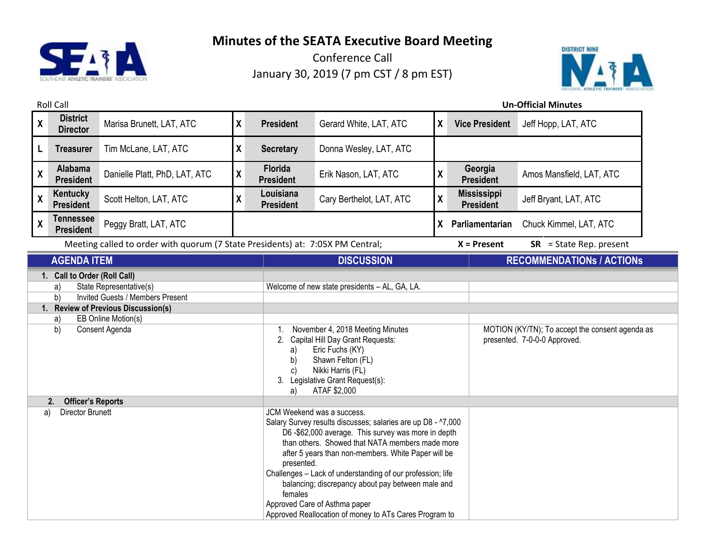

Conference Call January 30, 2019 (7 pm CST / 8 pm EST)



Roll Call **Un-Official Minutes X District Director** Marisa Brunett, LAT, ATC **<sup>X</sup> President** Gerard White, LAT, ATC **<sup>X</sup> Vice President** Jeff Hopp, LAT, ATC **L Treasurer** Tim McLane, LAT, ATC **X Secretary** Donna Wesley, LAT, ATC **X Alabama President** Danielle Platt, PhD, LAT, ATC **<sup>X</sup> Florida President** Erik Nason, LAT, ATC **<sup>X</sup> Georgia President** Amos Mansfield, LAT, ATC **X Kentucky President** Scott Helton, LAT, ATC **X Louisiana President** Cary Berthelot, LAT, ATC **<sup>X</sup> Mississippi President** Jeff Bryant, LAT, ATC **X Tennessee President** Peggy Bratt, LAT, ATC **X Parliamentarian** Chuck Kimmel, LAT, ATC **President** Meeting called to order with quorum (7 State Presidents) at: 7:05X PM Central; **X = Present** SR = State Rep. present **AGENDA ITEM DISCUSSION RECOMMENDATIONs / ACTIONs 1. Call to Order (Roll Call)** a) State Representative(s) Welcome of new state presidents – AL, GA, LA. b) Invited Guests / Members Present **1. Review of Previous Discussion(s)** a) EB Online Motion(s) b) Consent Agenda 1. November 4, 2018 Meeting Minutes 2. Capital Hill Day Grant Requests: a) Eric Fuchs (KY) b) Shawn Felton (FL) c) Nikki Harris (FL) 3. Legislative Grant Request(s): a) ATAF \$2,000 MOTION (KY/TN); To accept the consent agenda as presented. 7-0-0-0 Approved. **2. Officer's Reports** a) Director Brunett **Director Brunett** JCM Weekend was a success. Salary Survey results discusses; salaries are up D8 - ^7,000 D6 -\$62,000 average. This survey was more in depth than others. Showed that NATA members made more after 5 years than non-members. White Paper will be presented. Challenges – Lack of understanding of our profession; life

balancing; discrepancy about pay between male and

Approved Reallocation of money to ATs Cares Program to

females

Approved Care of Asthma paper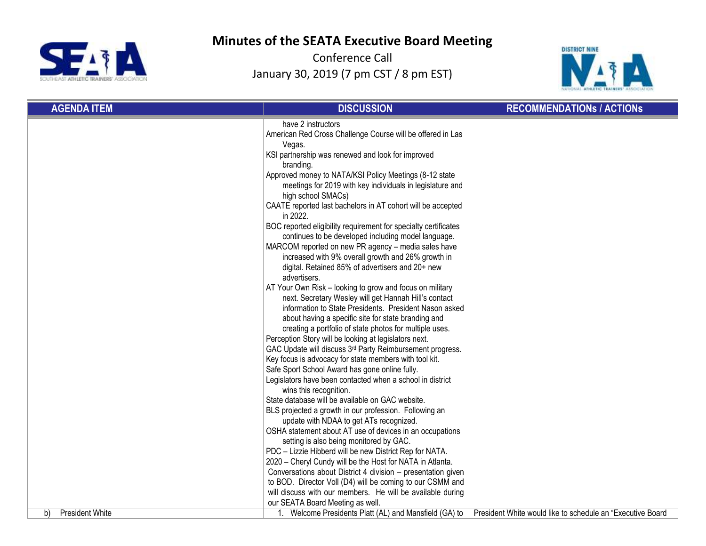



| <b>AGENDA ITEM</b>           | <b>DISCUSSION</b>                                                                                                                                                                                                                                                                                                                                                                                                                                                                                                                                                                                                                                                                                                                                                                                                                                                                                                                             | <b>RECOMMENDATIONS / ACTIONS</b>                            |
|------------------------------|-----------------------------------------------------------------------------------------------------------------------------------------------------------------------------------------------------------------------------------------------------------------------------------------------------------------------------------------------------------------------------------------------------------------------------------------------------------------------------------------------------------------------------------------------------------------------------------------------------------------------------------------------------------------------------------------------------------------------------------------------------------------------------------------------------------------------------------------------------------------------------------------------------------------------------------------------|-------------------------------------------------------------|
|                              | have 2 instructors<br>American Red Cross Challenge Course will be offered in Las                                                                                                                                                                                                                                                                                                                                                                                                                                                                                                                                                                                                                                                                                                                                                                                                                                                              |                                                             |
|                              | Vegas.                                                                                                                                                                                                                                                                                                                                                                                                                                                                                                                                                                                                                                                                                                                                                                                                                                                                                                                                        |                                                             |
|                              | KSI partnership was renewed and look for improved                                                                                                                                                                                                                                                                                                                                                                                                                                                                                                                                                                                                                                                                                                                                                                                                                                                                                             |                                                             |
|                              | branding.                                                                                                                                                                                                                                                                                                                                                                                                                                                                                                                                                                                                                                                                                                                                                                                                                                                                                                                                     |                                                             |
|                              | Approved money to NATA/KSI Policy Meetings (8-12 state                                                                                                                                                                                                                                                                                                                                                                                                                                                                                                                                                                                                                                                                                                                                                                                                                                                                                        |                                                             |
|                              | meetings for 2019 with key individuals in legislature and                                                                                                                                                                                                                                                                                                                                                                                                                                                                                                                                                                                                                                                                                                                                                                                                                                                                                     |                                                             |
|                              | high school SMACs)                                                                                                                                                                                                                                                                                                                                                                                                                                                                                                                                                                                                                                                                                                                                                                                                                                                                                                                            |                                                             |
|                              | CAATE reported last bachelors in AT cohort will be accepted<br>in 2022.                                                                                                                                                                                                                                                                                                                                                                                                                                                                                                                                                                                                                                                                                                                                                                                                                                                                       |                                                             |
|                              | BOC reported eligibility requirement for specialty certificates                                                                                                                                                                                                                                                                                                                                                                                                                                                                                                                                                                                                                                                                                                                                                                                                                                                                               |                                                             |
|                              | continues to be developed including model language.                                                                                                                                                                                                                                                                                                                                                                                                                                                                                                                                                                                                                                                                                                                                                                                                                                                                                           |                                                             |
|                              | MARCOM reported on new PR agency - media sales have                                                                                                                                                                                                                                                                                                                                                                                                                                                                                                                                                                                                                                                                                                                                                                                                                                                                                           |                                                             |
|                              | increased with 9% overall growth and 26% growth in                                                                                                                                                                                                                                                                                                                                                                                                                                                                                                                                                                                                                                                                                                                                                                                                                                                                                            |                                                             |
|                              | digital. Retained 85% of advertisers and 20+ new                                                                                                                                                                                                                                                                                                                                                                                                                                                                                                                                                                                                                                                                                                                                                                                                                                                                                              |                                                             |
|                              | advertisers.                                                                                                                                                                                                                                                                                                                                                                                                                                                                                                                                                                                                                                                                                                                                                                                                                                                                                                                                  |                                                             |
|                              | AT Your Own Risk - looking to grow and focus on military                                                                                                                                                                                                                                                                                                                                                                                                                                                                                                                                                                                                                                                                                                                                                                                                                                                                                      |                                                             |
|                              | next. Secretary Wesley will get Hannah Hill's contact                                                                                                                                                                                                                                                                                                                                                                                                                                                                                                                                                                                                                                                                                                                                                                                                                                                                                         |                                                             |
|                              | information to State Presidents. President Nason asked                                                                                                                                                                                                                                                                                                                                                                                                                                                                                                                                                                                                                                                                                                                                                                                                                                                                                        |                                                             |
|                              | about having a specific site for state branding and                                                                                                                                                                                                                                                                                                                                                                                                                                                                                                                                                                                                                                                                                                                                                                                                                                                                                           |                                                             |
|                              | creating a portfolio of state photos for multiple uses.                                                                                                                                                                                                                                                                                                                                                                                                                                                                                                                                                                                                                                                                                                                                                                                                                                                                                       |                                                             |
|                              | Perception Story will be looking at legislators next.                                                                                                                                                                                                                                                                                                                                                                                                                                                                                                                                                                                                                                                                                                                                                                                                                                                                                         |                                                             |
|                              |                                                                                                                                                                                                                                                                                                                                                                                                                                                                                                                                                                                                                                                                                                                                                                                                                                                                                                                                               |                                                             |
|                              |                                                                                                                                                                                                                                                                                                                                                                                                                                                                                                                                                                                                                                                                                                                                                                                                                                                                                                                                               |                                                             |
|                              |                                                                                                                                                                                                                                                                                                                                                                                                                                                                                                                                                                                                                                                                                                                                                                                                                                                                                                                                               |                                                             |
|                              |                                                                                                                                                                                                                                                                                                                                                                                                                                                                                                                                                                                                                                                                                                                                                                                                                                                                                                                                               |                                                             |
|                              |                                                                                                                                                                                                                                                                                                                                                                                                                                                                                                                                                                                                                                                                                                                                                                                                                                                                                                                                               |                                                             |
|                              |                                                                                                                                                                                                                                                                                                                                                                                                                                                                                                                                                                                                                                                                                                                                                                                                                                                                                                                                               |                                                             |
|                              |                                                                                                                                                                                                                                                                                                                                                                                                                                                                                                                                                                                                                                                                                                                                                                                                                                                                                                                                               |                                                             |
|                              |                                                                                                                                                                                                                                                                                                                                                                                                                                                                                                                                                                                                                                                                                                                                                                                                                                                                                                                                               |                                                             |
|                              |                                                                                                                                                                                                                                                                                                                                                                                                                                                                                                                                                                                                                                                                                                                                                                                                                                                                                                                                               |                                                             |
|                              |                                                                                                                                                                                                                                                                                                                                                                                                                                                                                                                                                                                                                                                                                                                                                                                                                                                                                                                                               |                                                             |
|                              |                                                                                                                                                                                                                                                                                                                                                                                                                                                                                                                                                                                                                                                                                                                                                                                                                                                                                                                                               |                                                             |
|                              |                                                                                                                                                                                                                                                                                                                                                                                                                                                                                                                                                                                                                                                                                                                                                                                                                                                                                                                                               |                                                             |
|                              |                                                                                                                                                                                                                                                                                                                                                                                                                                                                                                                                                                                                                                                                                                                                                                                                                                                                                                                                               |                                                             |
|                              |                                                                                                                                                                                                                                                                                                                                                                                                                                                                                                                                                                                                                                                                                                                                                                                                                                                                                                                                               |                                                             |
|                              |                                                                                                                                                                                                                                                                                                                                                                                                                                                                                                                                                                                                                                                                                                                                                                                                                                                                                                                                               |                                                             |
|                              |                                                                                                                                                                                                                                                                                                                                                                                                                                                                                                                                                                                                                                                                                                                                                                                                                                                                                                                                               |                                                             |
| <b>President White</b><br>b) | GAC Update will discuss 3rd Party Reimbursement progress.<br>Key focus is advocacy for state members with tool kit.<br>Safe Sport School Award has gone online fully.<br>Legislators have been contacted when a school in district<br>wins this recognition.<br>State database will be available on GAC website.<br>BLS projected a growth in our profession. Following an<br>update with NDAA to get ATs recognized.<br>OSHA statement about AT use of devices in an occupations<br>setting is also being monitored by GAC.<br>PDC - Lizzie Hibberd will be new District Rep for NATA.<br>2020 - Cheryl Cundy will be the Host for NATA in Atlanta.<br>Conversations about District 4 division - presentation given<br>to BOD. Director Voll (D4) will be coming to our CSMM and<br>will discuss with our members. He will be available during<br>our SEATA Board Meeting as well.<br>1. Welcome Presidents Platt (AL) and Mansfield (GA) to | President White would like to schedule an "Executive Board" |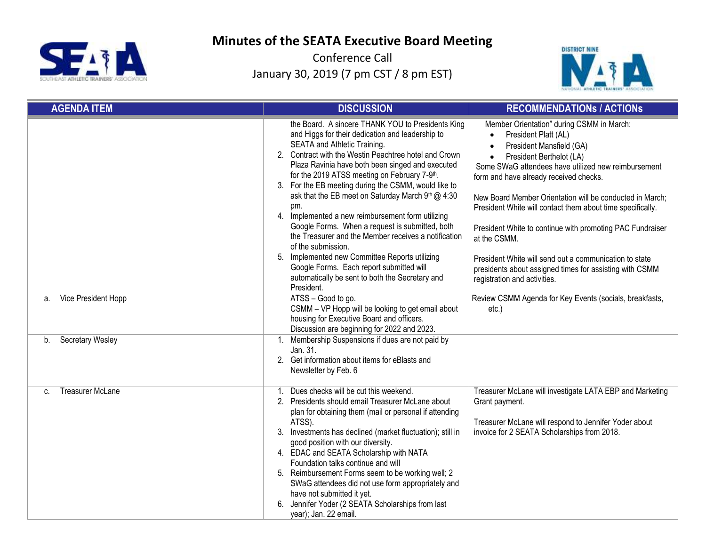



| <b>AGENDA ITEM</b>            | <b>DISCUSSION</b>                                                                                                                                                                                                                                                                                                                                                                                                                                                                                                                                                                                                                                                                                                                                                              | <b>RECOMMENDATIONS / ACTIONS</b>                                                                                                                                                                                                                                                                                                                                                                                                                                                                                                                                                                    |
|-------------------------------|--------------------------------------------------------------------------------------------------------------------------------------------------------------------------------------------------------------------------------------------------------------------------------------------------------------------------------------------------------------------------------------------------------------------------------------------------------------------------------------------------------------------------------------------------------------------------------------------------------------------------------------------------------------------------------------------------------------------------------------------------------------------------------|-----------------------------------------------------------------------------------------------------------------------------------------------------------------------------------------------------------------------------------------------------------------------------------------------------------------------------------------------------------------------------------------------------------------------------------------------------------------------------------------------------------------------------------------------------------------------------------------------------|
|                               | the Board. A sincere THANK YOU to Presidents King<br>and Higgs for their dedication and leadership to<br>SEATA and Athletic Training.<br>2. Contract with the Westin Peachtree hotel and Crown<br>Plaza Ravinia have both been singed and executed<br>for the 2019 ATSS meeting on February 7-9th.<br>3. For the EB meeting during the CSMM, would like to<br>ask that the EB meet on Saturday March 9th @ 4:30<br>pm.<br>Implemented a new reimbursement form utilizing<br>4.<br>Google Forms. When a request is submitted, both<br>the Treasurer and the Member receives a notification<br>of the submission.<br>5. Implemented new Committee Reports utilizing<br>Google Forms. Each report submitted will<br>automatically be sent to both the Secretary and<br>President. | Member Orientation" during CSMM in March:<br>President Platt (AL)<br>President Mansfield (GA)<br>President Berthelot (LA)<br>$\bullet$<br>Some SWaG attendees have utilized new reimbursement<br>form and have already received checks.<br>New Board Member Orientation will be conducted in March;<br>President White will contact them about time specifically.<br>President White to continue with promoting PAC Fundraiser<br>at the CSMM.<br>President White will send out a communication to state<br>presidents about assigned times for assisting with CSMM<br>registration and activities. |
| Vice President Hopp<br>a.     | ATSS - Good to go.<br>CSMM - VP Hopp will be looking to get email about<br>housing for Executive Board and officers.<br>Discussion are beginning for 2022 and 2023.                                                                                                                                                                                                                                                                                                                                                                                                                                                                                                                                                                                                            | Review CSMM Agenda for Key Events (socials, breakfasts,<br>$etc.$ )                                                                                                                                                                                                                                                                                                                                                                                                                                                                                                                                 |
| <b>Secretary Wesley</b><br>b. | 1. Membership Suspensions if dues are not paid by<br>Jan. 31.<br>2. Get information about items for eBlasts and<br>Newsletter by Feb. 6                                                                                                                                                                                                                                                                                                                                                                                                                                                                                                                                                                                                                                        |                                                                                                                                                                                                                                                                                                                                                                                                                                                                                                                                                                                                     |
| <b>Treasurer McLane</b><br>C. | Dues checks will be cut this weekend.<br>1.<br>2. Presidents should email Treasurer McLane about<br>plan for obtaining them (mail or personal if attending<br>ATSS).<br>Investments has declined (market fluctuation); still in<br>3.<br>good position with our diversity.<br>4. EDAC and SEATA Scholarship with NATA<br>Foundation talks continue and will<br>5. Reimbursement Forms seem to be working well; 2<br>SWaG attendees did not use form appropriately and<br>have not submitted it yet.<br>6. Jennifer Yoder (2 SEATA Scholarships from last<br>year); Jan. 22 email.                                                                                                                                                                                              | Treasurer McLane will investigate LATA EBP and Marketing<br>Grant payment.<br>Treasurer McLane will respond to Jennifer Yoder about<br>invoice for 2 SEATA Scholarships from 2018.                                                                                                                                                                                                                                                                                                                                                                                                                  |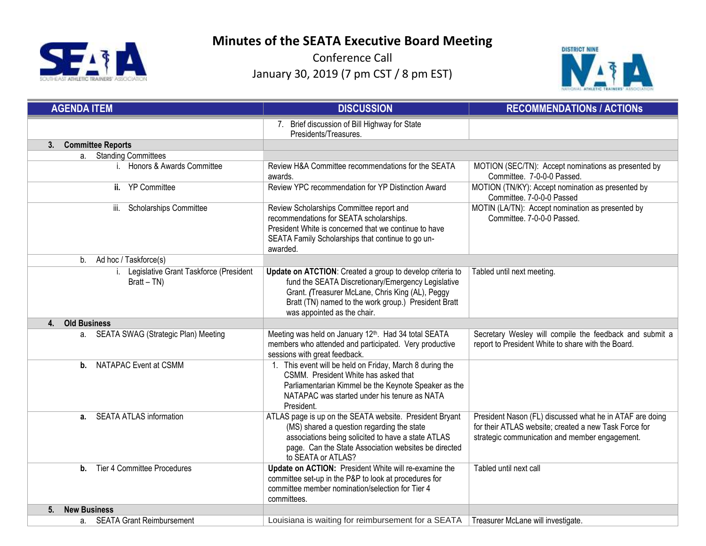



| <b>AGENDA ITEM</b>                                    | <b>DISCUSSION</b>                                                                                                                                                                                                                                          | <b>RECOMMENDATIONS / ACTIONS</b>                                                                                                                                    |
|-------------------------------------------------------|------------------------------------------------------------------------------------------------------------------------------------------------------------------------------------------------------------------------------------------------------------|---------------------------------------------------------------------------------------------------------------------------------------------------------------------|
|                                                       | 7. Brief discussion of Bill Highway for State<br>Presidents/Treasures.                                                                                                                                                                                     |                                                                                                                                                                     |
| 3. Committee Reports                                  |                                                                                                                                                                                                                                                            |                                                                                                                                                                     |
| a. Standing Committees                                |                                                                                                                                                                                                                                                            |                                                                                                                                                                     |
| i. Honors & Awards Committee                          | Review H&A Committee recommendations for the SEATA<br>awards.                                                                                                                                                                                              | MOTION (SEC/TN): Accept nominations as presented by<br>Committee. 7-0-0-0 Passed.                                                                                   |
| ii. YP Committee                                      | Review YPC recommendation for YP Distinction Award                                                                                                                                                                                                         | MOTION (TN/KY): Accept nomination as presented by<br>Committee. 7-0-0-0 Passed                                                                                      |
| iii. Scholarships Committee                           | Review Scholarships Committee report and<br>recommendations for SEATA scholarships.<br>President White is concerned that we continue to have<br>SEATA Family Scholarships that continue to go un-<br>awarded.                                              | MOTIN (LA/TN): Accept nomination as presented by<br>Committee. 7-0-0-0 Passed.                                                                                      |
| Ad hoc / Taskforce(s)<br>$b_{1}$                      |                                                                                                                                                                                                                                                            |                                                                                                                                                                     |
| Legislative Grant Taskforce (President<br>$Bratt-TN)$ | Update on ATCTION: Created a group to develop criteria to<br>fund the SEATA Discretionary/Emergency Legislative<br>Grant. (Treasurer McLane, Chris King (AL), Peggy<br>Bratt (TN) named to the work group.) President Bratt<br>was appointed as the chair. | Tabled until next meeting.                                                                                                                                          |
| <b>Old Business</b><br>4.                             |                                                                                                                                                                                                                                                            |                                                                                                                                                                     |
| a. SEATA SWAG (Strategic Plan) Meeting                | Meeting was held on January 12th. Had 34 total SEATA<br>members who attended and participated. Very productive<br>sessions with great feedback.                                                                                                            | Secretary Wesley will compile the feedback and submit a<br>report to President White to share with the Board.                                                       |
| <b>NATAPAC Event at CSMM</b><br>$\mathbf{b}$ .        | 1. This event will be held on Friday, March 8 during the<br>CSMM. President White has asked that<br>Parliamentarian Kimmel be the Keynote Speaker as the<br>NATAPAC was started under his tenure as NATA<br>President.                                     |                                                                                                                                                                     |
| a. SEATA ATLAS information                            | ATLAS page is up on the SEATA website. President Bryant<br>(MS) shared a question regarding the state<br>associations being solicited to have a state ATLAS<br>page. Can the State Association websites be directed<br>to SEATA or ATLAS?                  | President Nason (FL) discussed what he in ATAF are doing<br>for their ATLAS website; created a new Task Force for<br>strategic communication and member engagement. |
| Tier 4 Committee Procedures<br>$\mathbf{b}$ .         | Update on ACTION: President White will re-examine the<br>committee set-up in the P&P to look at procedures for<br>committee member nomination/selection for Tier 4<br>committees.                                                                          | Tabled until next call                                                                                                                                              |
| <b>New Business</b><br>5.                             |                                                                                                                                                                                                                                                            |                                                                                                                                                                     |
| a. SEATA Grant Reimbursement                          | Louisiana is waiting for reimbursement for a SEATA                                                                                                                                                                                                         | Treasurer McLane will investigate.                                                                                                                                  |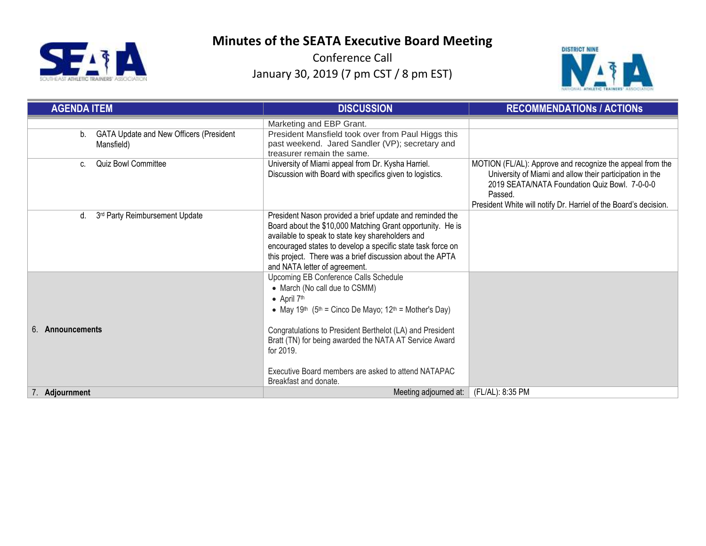



| <b>AGENDA ITEM</b>                                          | <b>DISCUSSION</b>                                                                                                                                                                                                                                                                                                                                                                                                          | <b>RECOMMENDATIONS / ACTIONS</b>                                                                                                                                                                                                                      |
|-------------------------------------------------------------|----------------------------------------------------------------------------------------------------------------------------------------------------------------------------------------------------------------------------------------------------------------------------------------------------------------------------------------------------------------------------------------------------------------------------|-------------------------------------------------------------------------------------------------------------------------------------------------------------------------------------------------------------------------------------------------------|
| GATA Update and New Officers (President<br>b.<br>Mansfield) | Marketing and EBP Grant.<br>President Mansfield took over from Paul Higgs this<br>past weekend. Jared Sandler (VP); secretary and<br>treasurer remain the same.                                                                                                                                                                                                                                                            |                                                                                                                                                                                                                                                       |
| <b>Quiz Bowl Committee</b><br>C.                            | University of Miami appeal from Dr. Kysha Harriel.<br>Discussion with Board with specifics given to logistics.                                                                                                                                                                                                                                                                                                             | MOTION (FL/AL): Approve and recognize the appeal from the<br>University of Miami and allow their participation in the<br>2019 SEATA/NATA Foundation Quiz Bowl. 7-0-0-0<br>Passed.<br>President White will notify Dr. Harriel of the Board's decision. |
| 3rd Party Reimbursement Update<br>d.                        | President Nason provided a brief update and reminded the<br>Board about the \$10,000 Matching Grant opportunity. He is<br>available to speak to state key shareholders and<br>encouraged states to develop a specific state task force on<br>this project. There was a brief discussion about the APTA<br>and NATA letter of agreement.                                                                                    |                                                                                                                                                                                                                                                       |
| Announcements<br>6                                          | Upcoming EB Conference Calls Schedule<br>• March (No call due to CSMM)<br>$\bullet$ April 7 <sup>th</sup><br>• May 19 <sup>th</sup> (5 <sup>th</sup> = Cinco De Mayo; 12 <sup>th</sup> = Mother's Day)<br>Congratulations to President Berthelot (LA) and President<br>Bratt (TN) for being awarded the NATA AT Service Award<br>for 2019.<br>Executive Board members are asked to attend NATAPAC<br>Breakfast and donate. |                                                                                                                                                                                                                                                       |
| 7. Adiournment                                              | Meeting adjourned at:                                                                                                                                                                                                                                                                                                                                                                                                      | (FL/AL): 8:35 PM                                                                                                                                                                                                                                      |